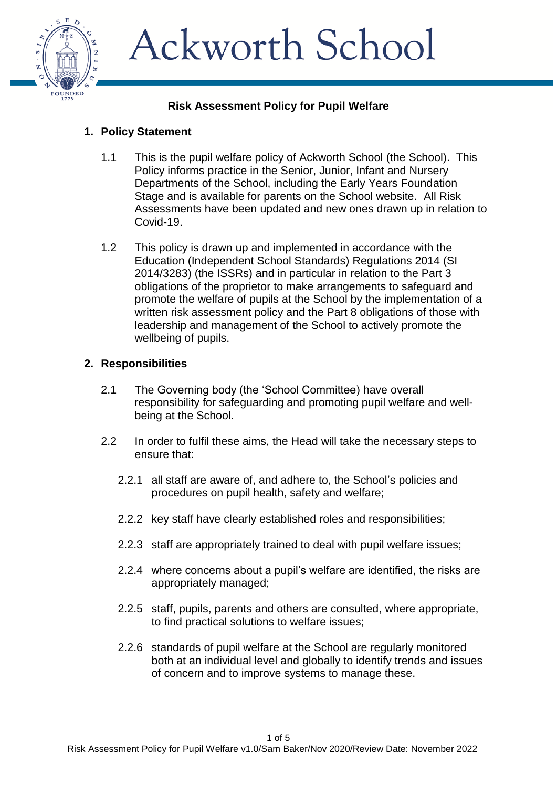

#### **Risk Assessment Policy for Pupil Welfare**

#### **1. Policy Statement**

- 1.1 This is the pupil welfare policy of Ackworth School (the School). This Policy informs practice in the Senior, Junior, Infant and Nursery Departments of the School, including the Early Years Foundation Stage and is available for parents on the School website. All Risk Assessments have been updated and new ones drawn up in relation to Covid-19.
- 1.2 This policy is drawn up and implemented in accordance with the Education (Independent School Standards) Regulations 2014 (SI 2014/3283) (the ISSRs) and in particular in relation to the Part 3 obligations of the proprietor to make arrangements to safeguard and promote the welfare of pupils at the School by the implementation of a written risk assessment policy and the Part 8 obligations of those with leadership and management of the School to actively promote the wellbeing of pupils.

#### **2. Responsibilities**

- 2.1 The Governing body (the 'School Committee) have overall responsibility for safeguarding and promoting pupil welfare and wellbeing at the School.
- 2.2 In order to fulfil these aims, the Head will take the necessary steps to ensure that:
	- 2.2.1 all staff are aware of, and adhere to, the School's policies and procedures on pupil health, safety and welfare;
	- 2.2.2 key staff have clearly established roles and responsibilities;
	- 2.2.3 staff are appropriately trained to deal with pupil welfare issues;
	- 2.2.4 where concerns about a pupil's welfare are identified, the risks are appropriately managed;
	- 2.2.5 staff, pupils, parents and others are consulted, where appropriate, to find practical solutions to welfare issues;
	- 2.2.6 standards of pupil welfare at the School are regularly monitored both at an individual level and globally to identify trends and issues of concern and to improve systems to manage these.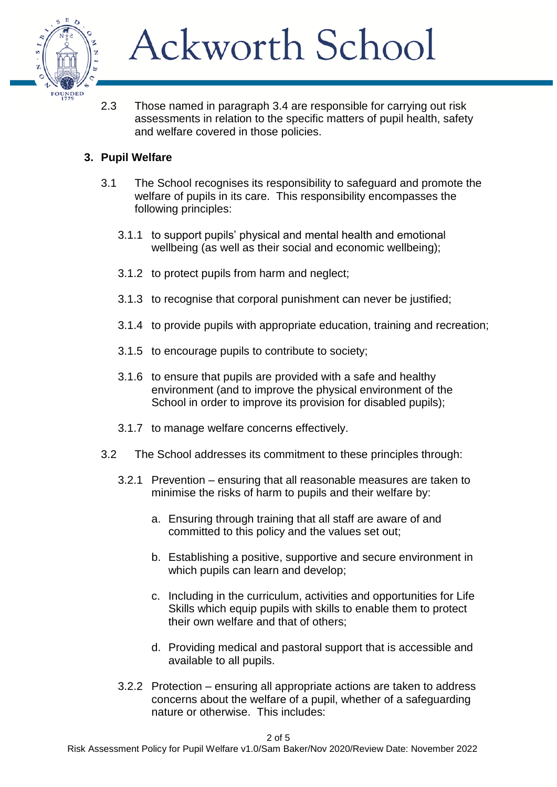

2.3 Those named in paragraph 3.4 are responsible for carrying out risk assessments in relation to the specific matters of pupil health, safety and welfare covered in those policies.

#### **3. Pupil Welfare**

- 3.1 The School recognises its responsibility to safeguard and promote the welfare of pupils in its care. This responsibility encompasses the following principles:
	- 3.1.1 to support pupils' physical and mental health and emotional wellbeing (as well as their social and economic wellbeing);
	- 3.1.2 to protect pupils from harm and neglect;
	- 3.1.3 to recognise that corporal punishment can never be justified;
	- 3.1.4 to provide pupils with appropriate education, training and recreation;
	- 3.1.5 to encourage pupils to contribute to society;
	- 3.1.6 to ensure that pupils are provided with a safe and healthy environment (and to improve the physical environment of the School in order to improve its provision for disabled pupils);
	- 3.1.7 to manage welfare concerns effectively.
- 3.2 The School addresses its commitment to these principles through:
	- 3.2.1 Prevention ensuring that all reasonable measures are taken to minimise the risks of harm to pupils and their welfare by:
		- a. Ensuring through training that all staff are aware of and committed to this policy and the values set out;
		- b. Establishing a positive, supportive and secure environment in which pupils can learn and develop;
		- c. Including in the curriculum, activities and opportunities for Life Skills which equip pupils with skills to enable them to protect their own welfare and that of others;
		- d. Providing medical and pastoral support that is accessible and available to all pupils.
	- 3.2.2 Protection ensuring all appropriate actions are taken to address concerns about the welfare of a pupil, whether of a safeguarding nature or otherwise. This includes:

2 of 5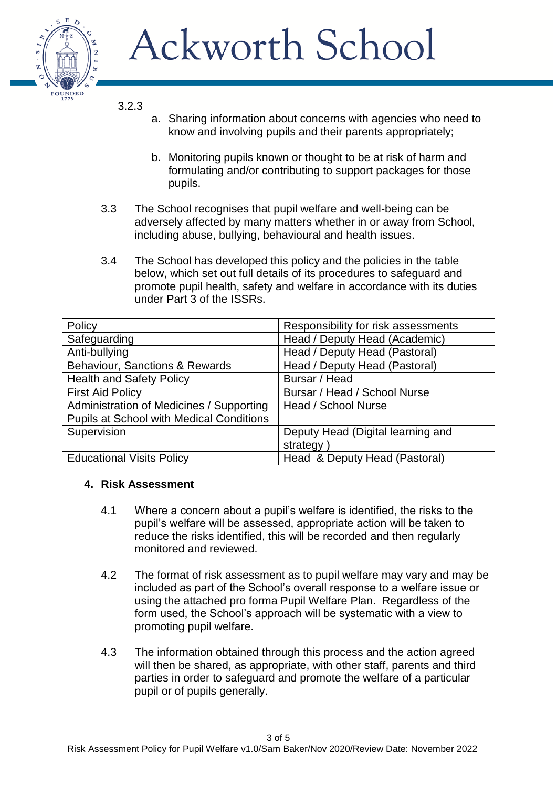

3.2.3

- a. Sharing information about concerns with agencies who need to know and involving pupils and their parents appropriately;
- b. Monitoring pupils known or thought to be at risk of harm and formulating and/or contributing to support packages for those pupils.
- 3.3 The School recognises that pupil welfare and well-being can be adversely affected by many matters whether in or away from School, including abuse, bullying, behavioural and health issues.
- 3.4 The School has developed this policy and the policies in the table below, which set out full details of its procedures to safeguard and promote pupil health, safety and welfare in accordance with its duties under Part 3 of the ISSRs.

| Policy                                          | Responsibility for risk assessments |
|-------------------------------------------------|-------------------------------------|
| Safeguarding                                    | Head / Deputy Head (Academic)       |
| Anti-bullying                                   | Head / Deputy Head (Pastoral)       |
| <b>Behaviour, Sanctions &amp; Rewards</b>       | Head / Deputy Head (Pastoral)       |
| <b>Health and Safety Policy</b>                 | Bursar / Head                       |
| <b>First Aid Policy</b>                         | Bursar / Head / School Nurse        |
| Administration of Medicines / Supporting        | Head / School Nurse                 |
| <b>Pupils at School with Medical Conditions</b> |                                     |
| Supervision                                     | Deputy Head (Digital learning and   |
|                                                 | strategy                            |
| <b>Educational Visits Policy</b>                | Head & Deputy Head (Pastoral)       |

#### **4. Risk Assessment**

- 4.1 Where a concern about a pupil's welfare is identified, the risks to the pupil's welfare will be assessed, appropriate action will be taken to reduce the risks identified, this will be recorded and then regularly monitored and reviewed.
- 4.2 The format of risk assessment as to pupil welfare may vary and may be included as part of the School's overall response to a welfare issue or using the attached pro forma Pupil Welfare Plan. Regardless of the form used, the School's approach will be systematic with a view to promoting pupil welfare.
- 4.3 The information obtained through this process and the action agreed will then be shared, as appropriate, with other staff, parents and third parties in order to safeguard and promote the welfare of a particular pupil or of pupils generally.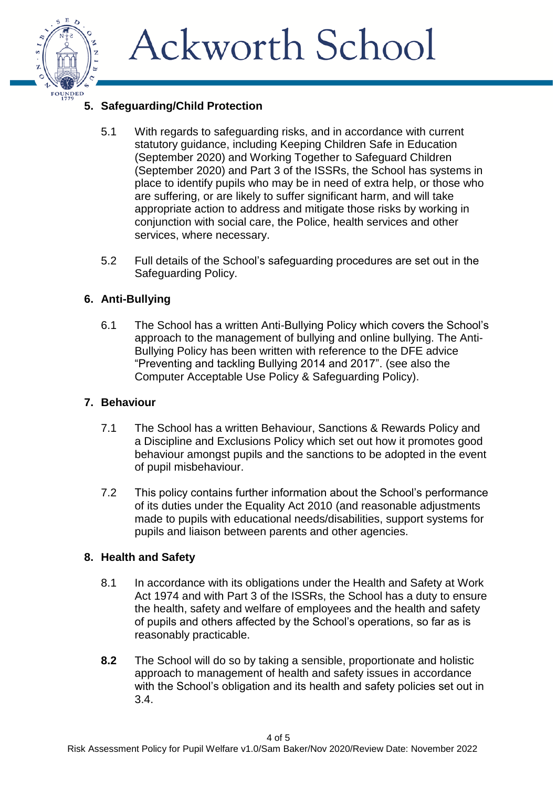

#### **5. Safeguarding/Child Protection**

- 5.1 With regards to safeguarding risks, and in accordance with current statutory guidance, including Keeping Children Safe in Education (September 2020) and Working Together to Safeguard Children (September 2020) and Part 3 of the ISSRs, the School has systems in place to identify pupils who may be in need of extra help, or those who are suffering, or are likely to suffer significant harm, and will take appropriate action to address and mitigate those risks by working in conjunction with social care, the Police, health services and other services, where necessary.
- 5.2 Full details of the School's safeguarding procedures are set out in the Safeguarding Policy.

#### **6. Anti-Bullying**

6.1 The School has a written Anti-Bullying Policy which covers the School's approach to the management of bullying and online bullying. The Anti-Bullying Policy has been written with reference to the DFE advice "Preventing and tackling Bullying 2014 and 2017". (see also the Computer Acceptable Use Policy & Safeguarding Policy).

#### **7. Behaviour**

- 7.1 The School has a written Behaviour, Sanctions & Rewards Policy and a Discipline and Exclusions Policy which set out how it promotes good behaviour amongst pupils and the sanctions to be adopted in the event of pupil misbehaviour.
- 7.2 This policy contains further information about the School's performance of its duties under the Equality Act 2010 (and reasonable adjustments made to pupils with educational needs/disabilities, support systems for pupils and liaison between parents and other agencies.

#### **8. Health and Safety**

- 8.1 In accordance with its obligations under the Health and Safety at Work Act 1974 and with Part 3 of the ISSRs, the School has a duty to ensure the health, safety and welfare of employees and the health and safety of pupils and others affected by the School's operations, so far as is reasonably practicable.
- **8.2** The School will do so by taking a sensible, proportionate and holistic approach to management of health and safety issues in accordance with the School's obligation and its health and safety policies set out in 3.4.